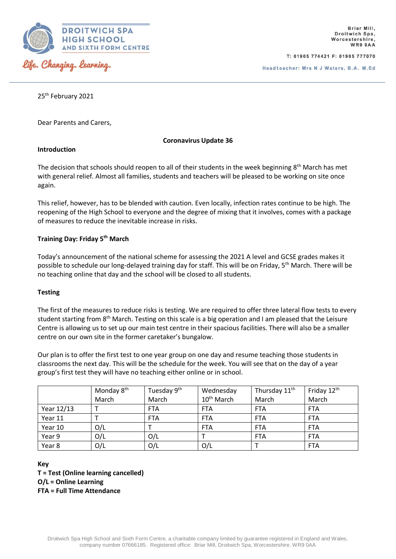

T: 01905 774421 F: 01905 777070

25<sup>th</sup> February 2021

Dear Parents and Carers,

## **Coronavirus Update 36**

# **Introduction**

The decision that schools should reopen to all of their students in the week beginning  $8<sup>th</sup>$  March has met with general relief. Almost all families, students and teachers will be pleased to be working on site once again.

This relief, however, has to be blended with caution. Even locally, infection rates continue to be high. The reopening of the High School to everyone and the degree of mixing that it involves, comes with a package of measures to reduce the inevitable increase in risks.

## **Training Day: Friday 5th March**

Today's announcement of the national scheme for assessing the 2021 A level and GCSE grades makes it possible to schedule our long-delayed training day for staff. This will be on Friday, 5th March. There will be no teaching online that day and the school will be closed to all students.

# **Testing**

The first of the measures to reduce risks is testing. We are required to offer three lateral flow tests to every student starting from 8<sup>th</sup> March. Testing on this scale is a big operation and I am pleased that the Leisure Centre is allowing us to set up our main test centre in their spacious facilities. There will also be a smaller centre on our own site in the former caretaker's bungalow.

Our plan is to offer the first test to one year group on one day and resume teaching those students in classrooms the next day. This will be the schedule for the week. You will see that on the day of a year group's first test they will have no teaching either online or in school.

|            | Monday 8 <sup>th</sup> | Tuesday 9 <sup>th</sup> | Wednesday              | Thursday 11 <sup>th</sup> | Friday 12 <sup>th</sup> |
|------------|------------------------|-------------------------|------------------------|---------------------------|-------------------------|
|            | March                  | March                   | 10 <sup>th</sup> March | March                     | March                   |
| Year 12/13 |                        | <b>FTA</b>              | <b>FTA</b>             | <b>FTA</b>                | <b>FTA</b>              |
| Year 11    |                        | <b>FTA</b>              | <b>FTA</b>             | <b>FTA</b>                | <b>FTA</b>              |
| Year 10    | O/L                    |                         | <b>FTA</b>             | <b>FTA</b>                | <b>FTA</b>              |
| Year 9     | O/L                    | O/L                     |                        | <b>FTA</b>                | <b>FTA</b>              |
| Year 8     | O/L                    | O/L                     | O/L                    |                           | <b>FTA</b>              |

#### **Key**

**T = Test (Online learning cancelled) O/L = Online Learning FTA = Full Time Attendance**